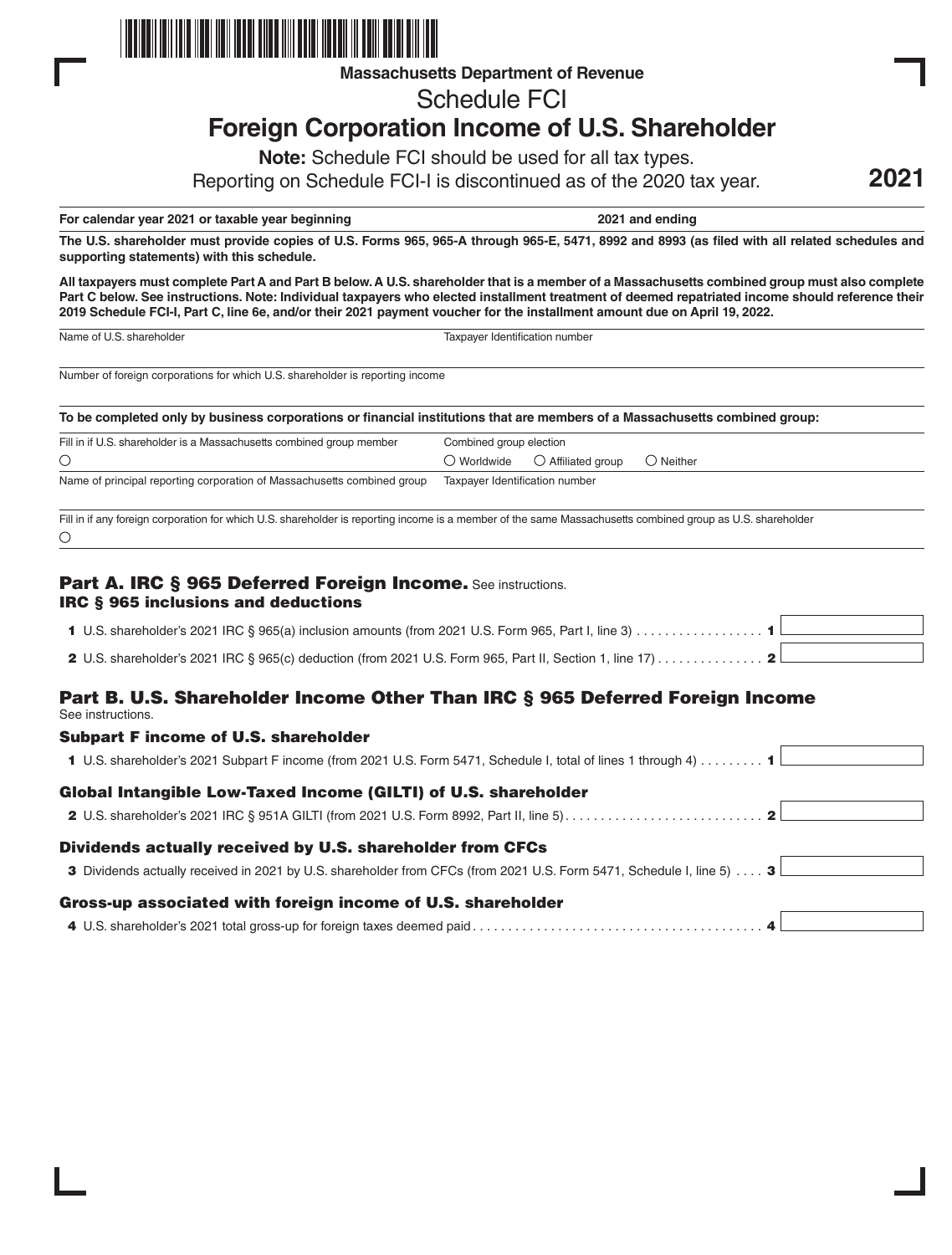

**Massachusetts Department of Revenue**

Schedule FCI

# **Foreign Corporation Income of U.S. Shareholder**

**Note:** Schedule FCI should be used for all tax types.

Reporting on Schedule FCI-I is discontinued as of the 2020 tax year.

**For calendar year 2021 or taxable year beginning 2021 and ending**

**2021**

**The U.S. shareholder must provide copies of U.S. Forms 965, 965-A through 965-E, 5471, 8992 and 8993 (as filed with all related schedules and supporting statements) with this schedule.**

**All taxpayers must complete Part A and Part B below. A U.S. shareholder that is a member of a Massachusetts combined group must also complete Part C below. See instructions. Note: Individual taxpayers who elected installment treatment of deemed repatriated income should reference their 2019 Schedule FCI-I, Part C, line 6e, and/or their 2021 payment voucher for the installment amount due on April 19, 2022.**

Name of U.S. shareholder Taxpayer Identification number

Number of foreign corporations for which U.S. shareholder is reporting income

**To be completed only by business corporations or financial institutions that are members of a Massachusetts combined group:**

| Fill in if U.S. shareholder is a Massachusetts combined group member                                                                                       | Combined group election        |                             |                    |
|------------------------------------------------------------------------------------------------------------------------------------------------------------|--------------------------------|-----------------------------|--------------------|
|                                                                                                                                                            | $\bigcirc$ Worldwide           | $\bigcirc$ Affiliated group | $\bigcirc$ Neither |
| Name of principal reporting corporation of Massachusetts combined group                                                                                    | Taxpayer Identification number |                             |                    |
| Fill in if any foreign corporation for which U.S. shareholder is reporting income is a member of the same Massachusetts combined group as U.S. shareholder |                                |                             |                    |

# Part A. IRC § 965 Deferred Foreign Income. See instructions. IRC § 965 inclusions and deductions

| 1 U.S. shareholder's 2021 IRC § 965(a) inclusion amounts (from 2021 U.S. Form 965, Part I, line 3) 1 L      |  |
|-------------------------------------------------------------------------------------------------------------|--|
| 2 U.S. shareholder's 2021 IRC § 965(c) deduction (from 2021 U.S. Form 965, Part II, Section 1, line 17) 2 L |  |
|                                                                                                             |  |

# Part B. U.S. Shareholder Income Other Than IRC § 965 Deferred Foreign Income See instructions.

| <b>Subpart F income of U.S. shareholder</b>                                                                          |  |
|----------------------------------------------------------------------------------------------------------------------|--|
| 1 U.S. shareholder's 2021 Subpart F income (from 2021 U.S. Form 5471, Schedule I, total of lines 1 through 4)  1     |  |
| Global Intangible Low-Taxed Income (GILTI) of U.S. shareholder                                                       |  |
|                                                                                                                      |  |
| Dividends actually received by U.S. shareholder from CFCs                                                            |  |
| 3 Dividends actually received in 2021 by U.S. shareholder from CFCs (from 2021 U.S. Form 5471, Schedule I, line 5) 3 |  |
| Gross-up associated with foreign income of U.S. shareholder                                                          |  |
|                                                                                                                      |  |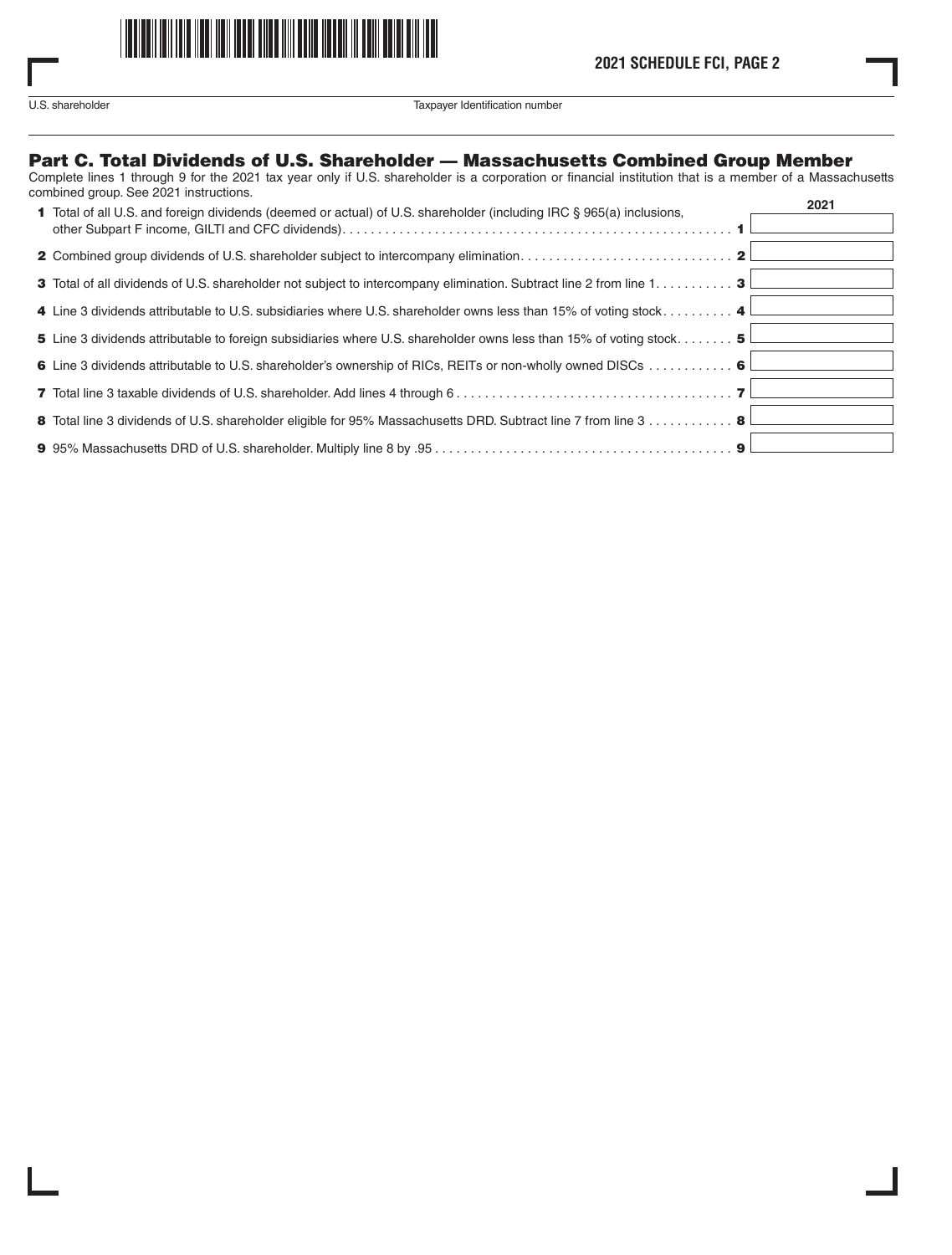

U.S. shareholder Taxpayer Identification number

# Part C. Total Dividends of U.S. Shareholder — Massachusetts Combined Group Member

Complete lines 1 through 9 for the 2021 tax year only if U.S. shareholder is a corporation or financial institution that is a member of a Massachusetts combined group. See 2021 instructions.

| <b>1</b> Total of all U.S. and foreign dividends (deemed or actual) of U.S. shareholder (including IRC § 965(a) inclusions,           | 2021 |
|---------------------------------------------------------------------------------------------------------------------------------------|------|
|                                                                                                                                       |      |
|                                                                                                                                       |      |
| 3 Total of all dividends of U.S. shareholder not subject to intercompany elimination. Subtract line 2 from line $1, \ldots, \ldots$ 3 |      |
| 4 Line 3 dividends attributable to U.S. subsidiaries where U.S. shareholder owns less than 15% of voting stock 4 L                    |      |
| 5 Line 3 dividends attributable to foreign subsidiaries where U.S. shareholder owns less than 15% of voting stock 5                   |      |
| 6 Line 3 dividends attributable to U.S. shareholder's ownership of RICs, REITs or non-wholly owned DISCs 6 L                          |      |
|                                                                                                                                       |      |
| 8 Total line 3 dividends of U.S. shareholder eligible for 95% Massachusetts DRD. Subtract line 7 from line 3 8 L                      |      |
|                                                                                                                                       |      |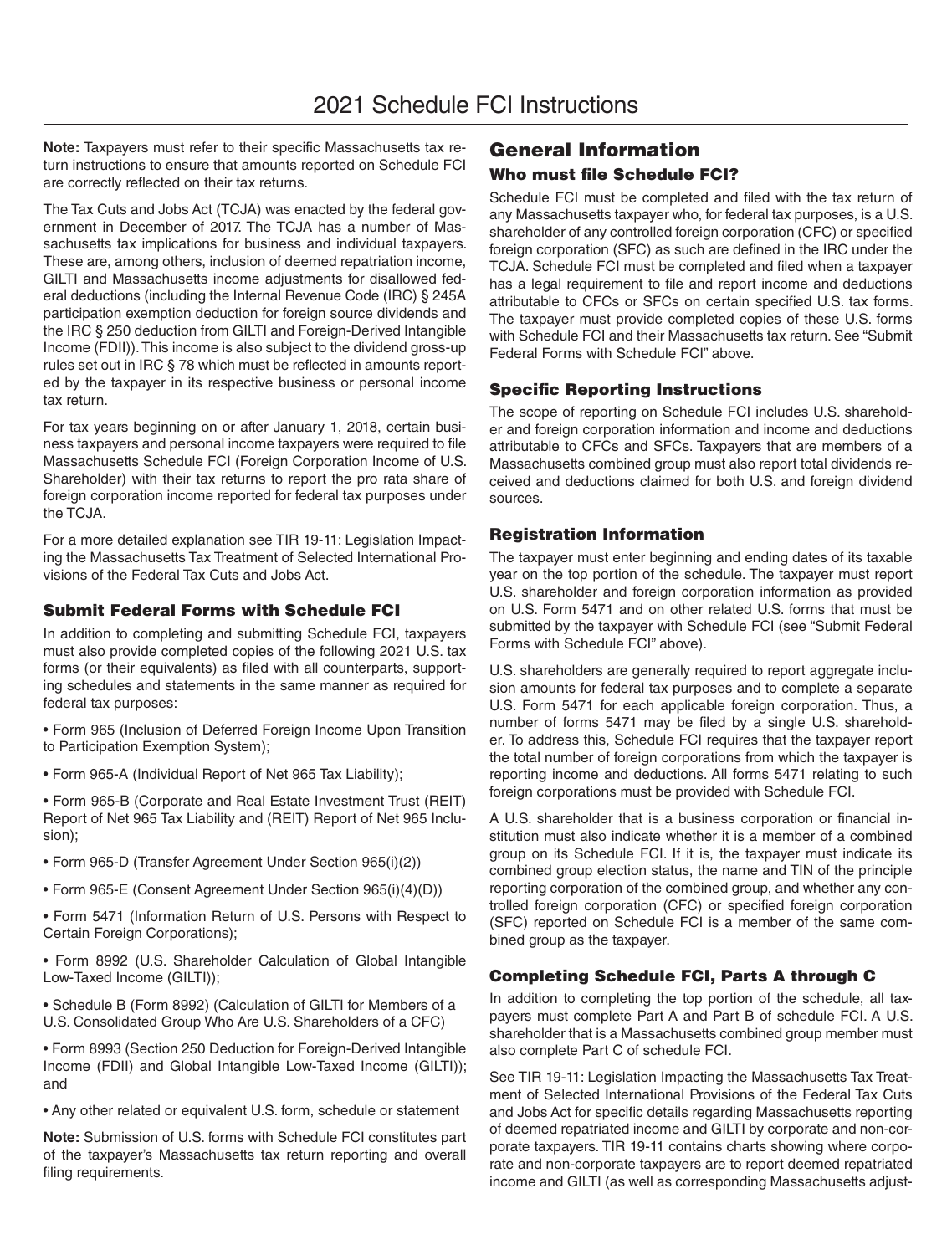**Note:** Taxpayers must refer to their specific Massachusetts tax return instructions to ensure that amounts reported on Schedule FCI are correctly reflected on their tax returns.

The Tax Cuts and Jobs Act (TCJA) was enacted by the federal government in December of 2017. The TCJA has a number of Massachusetts tax implications for business and individual taxpayers. These are, among others, inclusion of deemed repatriation income, GILTI and Massachusetts income adjustments for disallowed federal deductions (including the Internal Revenue Code (IRC) § 245A participation exemption deduction for foreign source dividends and the IRC § 250 deduction from GILTI and Foreign-Derived Intangible Income (FDII)). This income is also subject to the dividend gross-up rules set out in IRC § 78 which must be reflected in amounts reported by the taxpayer in its respective business or personal income tax return.

For tax years beginning on or after January 1, 2018, certain business taxpayers and personal income taxpayers were required to file Massachusetts Schedule FCI (Foreign Corporation Income of U.S. Shareholder) with their tax returns to report the pro rata share of foreign corporation income reported for federal tax purposes under the TCJA.

For a more detailed explanation see TIR 19-11: Legislation Impacting the Massachusetts Tax Treatment of Selected International Provisions of the Federal Tax Cuts and Jobs Act.

# Submit Federal Forms with Schedule FCI

In addition to completing and submitting Schedule FCI, taxpayers must also provide completed copies of the following 2021 U.S. tax forms (or their equivalents) as filed with all counterparts, supporting schedules and statements in the same manner as required for federal tax purposes:

• Form 965 (Inclusion of Deferred Foreign Income Upon Transition to Participation Exemption System);

• Form 965-A (Individual Report of Net 965 Tax Liability);

• Form 965-B (Corporate and Real Estate Investment Trust (REIT) Report of Net 965 Tax Liability and (REIT) Report of Net 965 Inclusion);

- Form 965-D (Transfer Agreement Under Section 965(i)(2))
- Form 965-E (Consent Agreement Under Section 965(i)(4)(D))
- Form 5471 (Information Return of U.S. Persons with Respect to Certain Foreign Corporations);

• Form 8992 (U.S. Shareholder Calculation of Global Intangible Low-Taxed Income (GILTI));

• Schedule B (Form 8992) (Calculation of GILTI for Members of a U.S. Consolidated Group Who Are U.S. Shareholders of a CFC)

• Form 8993 (Section 250 Deduction for Foreign-Derived Intangible Income (FDII) and Global Intangible Low-Taxed Income (GILTI)); and

• Any other related or equivalent U.S. form, schedule or statement

**Note:** Submission of U.S. forms with Schedule FCI constitutes part of the taxpayer's Massachusetts tax return reporting and overall filing requirements.

# General Information Who must file Schedule FCI?

Schedule FCI must be completed and filed with the tax return of any Massachusetts taxpayer who, for federal tax purposes, is a U.S. shareholder of any controlled foreign corporation (CFC) or specified foreign corporation (SFC) as such are defined in the IRC under the TCJA. Schedule FCI must be completed and filed when a taxpayer has a legal requirement to file and report income and deductions attributable to CFCs or SFCs on certain specified U.S. tax forms. The taxpayer must provide completed copies of these U.S. forms with Schedule FCI and their Massachusetts tax return. See "Submit Federal Forms with Schedule FCI" above.

# Specific Reporting Instructions

The scope of reporting on Schedule FCI includes U.S. shareholder and foreign corporation information and income and deductions attributable to CFCs and SFCs. Taxpayers that are members of a Massachusetts combined group must also report total dividends received and deductions claimed for both U.S. and foreign dividend sources.

# Registration Information

The taxpayer must enter beginning and ending dates of its taxable year on the top portion of the schedule. The taxpayer must report U.S. shareholder and foreign corporation information as provided on U.S. Form 5471 and on other related U.S. forms that must be submitted by the taxpayer with Schedule FCI (see "Submit Federal Forms with Schedule FCI" above).

U.S. shareholders are generally required to report aggregate inclusion amounts for federal tax purposes and to complete a separate U.S. Form 5471 for each applicable foreign corporation. Thus, a number of forms 5471 may be filed by a single U.S. shareholder. To address this, Schedule FCI requires that the taxpayer report the total number of foreign corporations from which the taxpayer is reporting income and deductions. All forms 5471 relating to such foreign corporations must be provided with Schedule FCI.

A U.S. shareholder that is a business corporation or financial institution must also indicate whether it is a member of a combined group on its Schedule FCI. If it is, the taxpayer must indicate its combined group election status, the name and TIN of the principle reporting corporation of the combined group, and whether any controlled foreign corporation (CFC) or specified foreign corporation (SFC) reported on Schedule FCI is a member of the same combined group as the taxpayer.

# Completing Schedule FCI, Parts A through C

In addition to completing the top portion of the schedule, all taxpayers must complete Part A and Part B of schedule FCI. A U.S. shareholder that is a Massachusetts combined group member must also complete Part C of schedule FCI.

See TIR 19-11: Legislation Impacting the Massachusetts Tax Treatment of Selected International Provisions of the Federal Tax Cuts and Jobs Act for specific details regarding Massachusetts reporting of deemed repatriated income and GILTI by corporate and non-corporate taxpayers. TIR 19-11 contains charts showing where corporate and non-corporate taxpayers are to report deemed repatriated income and GILTI (as well as corresponding Massachusetts adjust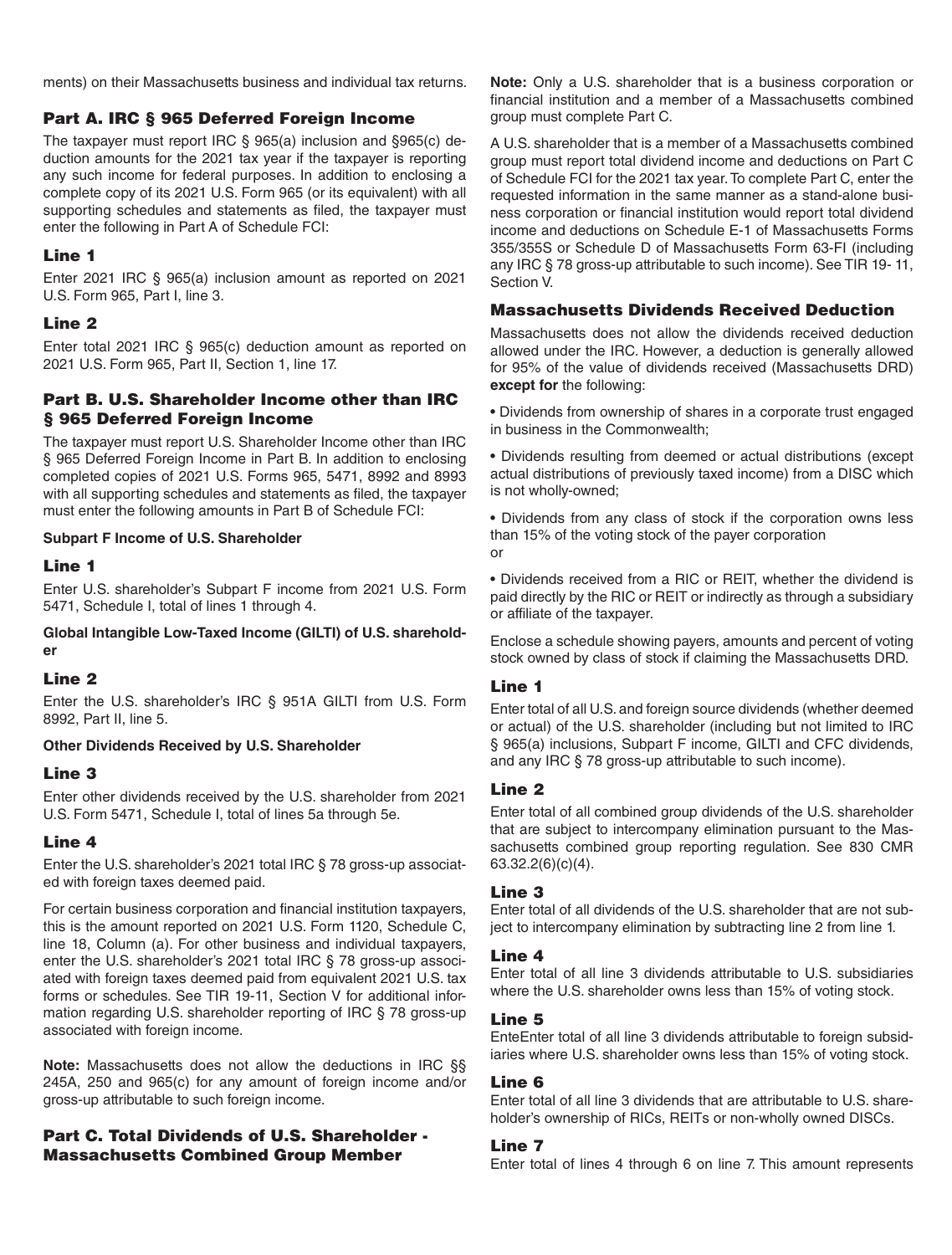ments) on their Massachusetts business and individual tax returns.

# Part A. IRC § 965 Deferred Foreign Income

The taxpayer must report IRC § 965(a) inclusion and §965(c) deduction amounts for the 2021 tax year if the taxpayer is reporting any such income for federal purposes. In addition to enclosing a complete copy of its 2021 U.S. Form 965 (or its equivalent) with all supporting schedules and statements as filed, the taxpayer must enter the following in Part A of Schedule FCI:

# Line 1

Enter 2021 IRC § 965(a) inclusion amount as reported on 2021 U.S. Form 965, Part I, line 3.

# Line 2

Enter total 2021 IRC § 965(c) deduction amount as reported on 2021 U.S. Form 965, Part II, Section 1, line 17.

# Part B. U.S. Shareholder Income other than IRC § 965 Deferred Foreign Income

The taxpayer must report U.S. Shareholder Income other than IRC § 965 Deferred Foreign Income in Part B. In addition to enclosing completed copies of 2021 U.S. Forms 965, 5471, 8992 and 8993 with all supporting schedules and statements as filed, the taxpayer must enter the following amounts in Part B of Schedule FCI:

#### **Subpart F Income of U.S. Shareholder**

#### Line 1

Enter U.S. shareholder's Subpart F income from 2021 U.S. Form 5471, Schedule I, total of lines 1 through 4.

**Global Intangible Low-Taxed Income (GILTI) of U.S. shareholder**

# Line 2

Enter the U.S. shareholder's IRC § 951A GILTI from U.S. Form 8992, Part II, line 5.

#### **Other Dividends Received by U.S. Shareholder**

# Line 3

Enter other dividends received by the U.S. shareholder from 2021 U.S. Form 5471, Schedule I, total of lines 5a through 5e.

# Line 4

Enter the U.S. shareholder's 2021 total IRC § 78 gross-up associated with foreign taxes deemed paid.

For certain business corporation and financial institution taxpayers, this is the amount reported on 2021 U.S. Form 1120, Schedule C, line 18, Column (a). For other business and individual taxpayers, enter the U.S. shareholder's 2021 total IRC § 78 gross-up associated with foreign taxes deemed paid from equivalent 2021 U.S. tax forms or schedules. See TIR 19-11, Section V for additional information regarding U.S. shareholder reporting of IRC § 78 gross-up associated with foreign income.

**Note:** Massachusetts does not allow the deductions in IRC §§ 245A, 250 and 965(c) for any amount of foreign income and/or gross-up attributable to such foreign income.

# Part C. Total Dividends of U.S. Shareholder - Massachusetts Combined Group Member

**Note:** Only a U.S. shareholder that is a business corporation or financial institution and a member of a Massachusetts combined group must complete Part C.

A U.S. shareholder that is a member of a Massachusetts combined group must report total dividend income and deductions on Part C of Schedule FCI for the 2021 tax year. To complete Part C, enter the requested information in the same manner as a stand-alone business corporation or financial institution would report total dividend income and deductions on Schedule E-1 of Massachusetts Forms 355/355S or Schedule D of Massachusetts Form 63-FI (including any IRC § 78 gross-up attributable to such income). See TIR 19- 11, Section V.

# Massachusetts Dividends Received Deduction

Massachusetts does not allow the dividends received deduction allowed under the IRC. However, a deduction is generally allowed for 95% of the value of dividends received (Massachusetts DRD) **except for** the following:

• Dividends from ownership of shares in a corporate trust engaged in business in the Commonwealth;

• Dividends resulting from deemed or actual distributions (except actual distributions of previously taxed income) from a DISC which is not wholly-owned;

• Dividends from any class of stock if the corporation owns less than 15% of the voting stock of the payer corporation or

• Dividends received from a RIC or REIT, whether the dividend is paid directly by the RIC or REIT or indirectly as through a subsidiary or affiliate of the taxpayer.

Enclose a schedule showing payers, amounts and percent of voting stock owned by class of stock if claiming the Massachusetts DRD.

# Line 1

Enter total of all U.S. and foreign source dividends (whether deemed or actual) of the U.S. shareholder (including but not limited to IRC § 965(a) inclusions, Subpart F income, GILTI and CFC dividends, and any IRC § 78 gross-up attributable to such income).

# Line 2

Enter total of all combined group dividends of the U.S. shareholder that are subject to intercompany elimination pursuant to the Massachusetts combined group reporting regulation. See 830 CMR 63.32.2(6)(c)(4).

# Line 3

Enter total of all dividends of the U.S. shareholder that are not subject to intercompany elimination by subtracting line 2 from line 1.

# Line 4

Enter total of all line 3 dividends attributable to U.S. subsidiaries where the U.S. shareholder owns less than 15% of voting stock.

# Line 5

EnteEnter total of all line 3 dividends attributable to foreign subsidiaries where U.S. shareholder owns less than 15% of voting stock.

# Line 6

Enter total of all line 3 dividends that are attributable to U.S. shareholder's ownership of RICs, REITs or non-wholly owned DISCs.

# Line 7

Enter total of lines 4 through 6 on line 7. This amount represents